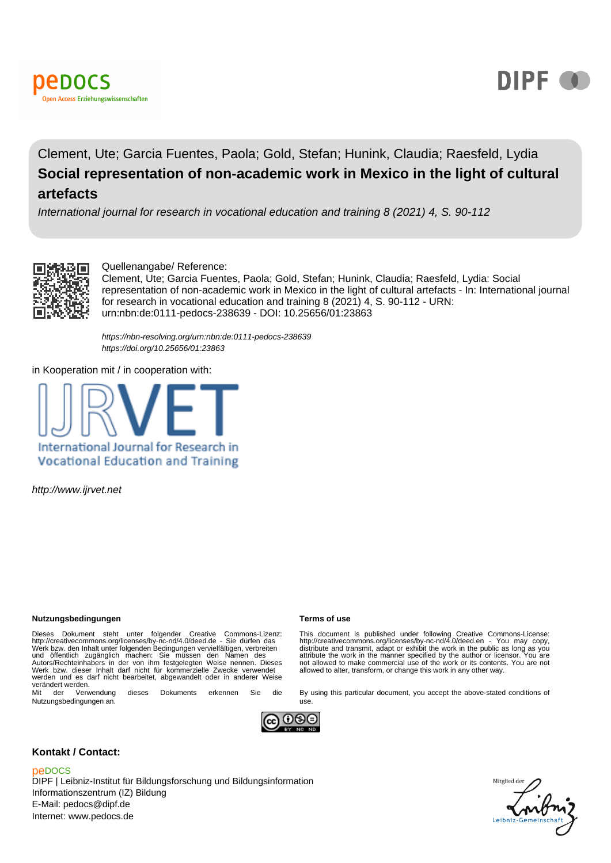



## Clement, Ute; Garcia Fuentes, Paola; Gold, Stefan; Hunink, Claudia; Raesfeld, Lydia **Social representation of non-academic work in Mexico in the light of cultural artefacts**

International journal for research in vocational education and training 8 (2021) 4, S. 90-112



Quellenangabe/ Reference:

Clement, Ute; Garcia Fuentes, Paola; Gold, Stefan; Hunink, Claudia; Raesfeld, Lydia: Social representation of non-academic work in Mexico in the light of cultural artefacts - In: International journal for research in vocational education and training 8 (2021) 4, S. 90-112 - URN: urn:nbn:de:0111-pedocs-238639 - DOI: 10.25656/01:23863

<https://nbn-resolving.org/urn:nbn:de:0111-pedocs-238639> <https://doi.org/10.25656/01:23863>

in Kooperation mit / in cooperation with:



http://www.ijrvet.net

#### **Nutzungsbedingungen Terms of use**

Dieses Dokument steht unter folgender Creative Commons-Lizenz:<br>http://creativecommons.org/licenses/by-nc-nd/4.0/deed.de - Sie dürfen das<br>Werk bzw. den Inhalt unter folgenden Bedingungen vervielfältigen, verbreiten<br>und öffe werden und es darf nicht bearbeitet, abgewandelt oder in anderer Weise verändert werden.<br>Mit der Verwendung

dieses Dokuments erkennen Sie die Nutzungsbedingungen an.

This document is published under following Creative Commons-License:<br>http://creativecommons.org/licenses/by-nc-nd/4.0/deed.en - You may copy,<br>distribute and transmit, adapt or exhibit the work in the public as long as you<br> not allowed to make commercial use of the work or its contents. You are not allowed to alter, transform, or change this work in any other way.

By using this particular document, you accept the above-stated conditions of



use.

#### **Kontakt / Contact:**

#### peDOCS

DIPF | Leibniz-Institut für Bildungsforschung und Bildungsinformation Informationszentrum (IZ) Bildung E-Mail: pedocs@dipf.de Internet: www.pedocs.de

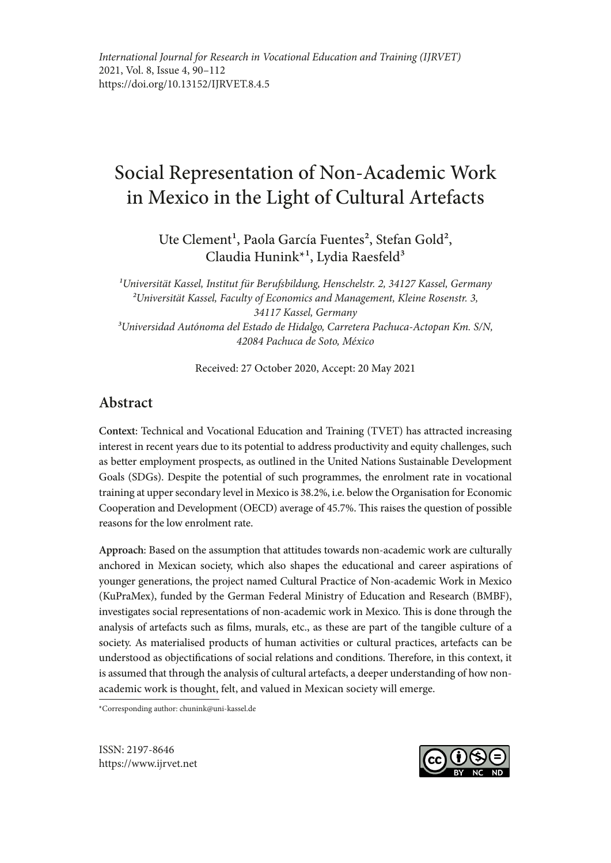# Social Representation of Non-Academic Work in Mexico in the Light of Cultural Artefacts

Ute Clement<sup>1</sup>, Paola García Fuentes<sup>2</sup>, Stefan Gold<sup>2</sup>, Claudia Hunink<sup>\*1</sup>, Lydia Raesfeld<sup>3</sup>

*1Universität Kassel, Institut für Berufsbildung, Henschelstr. 2, 34127 Kassel, Germany 2Universität Kassel, Faculty of Economics and Management, Kleine Rosenstr. 3, 34117 Kassel, Germany 3Universidad Autónoma del Estado de Hidalgo, Carretera Pachuca-Actopan Km. S/N, 42084 Pachuca de Soto, México*

Received: 27 October 2020, Accept: 20 May 2021

## **Abstract**

**Context**: Technical and Vocational Education and Training (TVET) has attracted increasing interest in recent years due to its potential to address productivity and equity challenges, such as better employment prospects, as outlined in the United Nations Sustainable Development Goals (SDGs). Despite the potential of such programmes, the enrolment rate in vocational training at upper secondary level in Mexico is 38.2%, i.e. below the Organisation for Economic Cooperation and Development (OECD) average of 45.7%. This raises the question of possible reasons for the low enrolment rate.

**Approach**: Based on the assumption that attitudes towards non-academic work are culturally anchored in Mexican society, which also shapes the educational and career aspirations of younger generations, the project named Cultural Practice of Non-academic Work in Mexico (KuPraMex), funded by the German Federal Ministry of Education and Research (BMBF), investigates social representations of non-academic work in Mexico. This is done through the analysis of artefacts such as films, murals, etc., as these are part of the tangible culture of a society. As materialised products of human activities or cultural practices, artefacts can be understood as objectifications of social relations and conditions. Therefore, in this context, it is assumed that through the analysis of cultural artefacts, a deeper understanding of how nonacademic work is thought, felt, and valued in Mexican society will emerge.

\*Corresponding author: chunink@uni-kassel.de

ISSN: 2197-8646 https://www.ijrvet.net

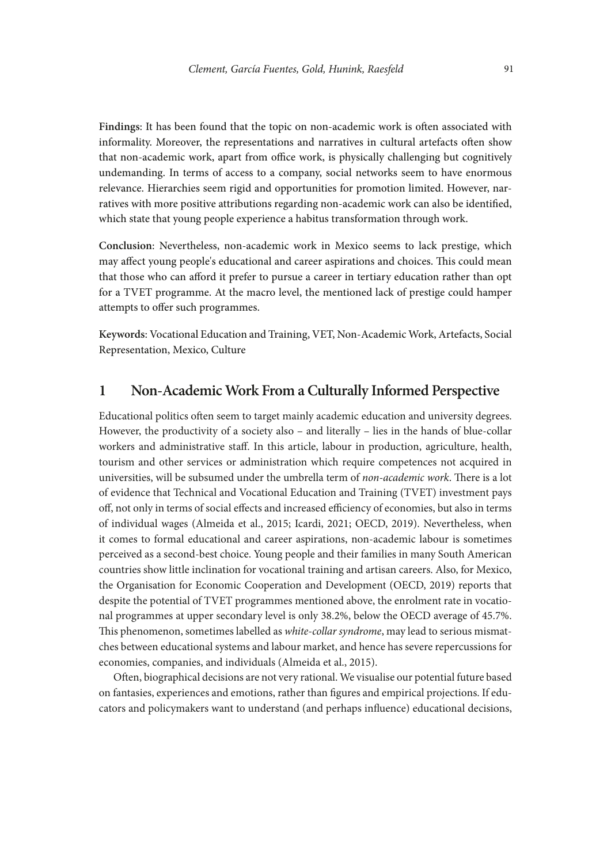**Findings**: It has been found that the topic on non-academic work is often associated with informality. Moreover, the representations and narratives in cultural artefacts often show that non-academic work, apart from office work, is physically challenging but cognitively undemanding. In terms of access to a company, social networks seem to have enormous relevance. Hierarchies seem rigid and opportunities for promotion limited. However, narratives with more positive attributions regarding non-academic work can also be identified, which state that young people experience a habitus transformation through work.

**Conclusion**: Nevertheless, non-academic work in Mexico seems to lack prestige, which may affect young people's educational and career aspirations and choices. This could mean that those who can afford it prefer to pursue a career in tertiary education rather than opt for a TVET programme. At the macro level, the mentioned lack of prestige could hamper attempts to offer such programmes.

**Keywords**: Vocational Education and Training, VET, Non-Academic Work, Artefacts, Social Representation, Mexico, Culture

#### **1 Non-Academic Work From a Culturally Informed Perspective**

Educational politics often seem to target mainly academic education and university degrees. However, the productivity of a society also – and literally – lies in the hands of blue-collar workers and administrative staff. In this article, labour in production, agriculture, health, tourism and other services or administration which require competences not acquired in universities, will be subsumed under the umbrella term of *non-academic work*. There is a lot of evidence that Technical and Vocational Education and Training (TVET) investment pays off, not only in terms of social effects and increased efficiency of economies, but also in terms of individual wages (Almeida et al., 2015; Icardi, 2021; OECD, 2019). Nevertheless, when it comes to formal educational and career aspirations, non-academic labour is sometimes perceived as a second-best choice. Young people and their families in many South American countries show little inclination for vocational training and artisan careers. Also, for Mexico, the Organisation for Economic Cooperation and Development (OECD, 2019) reports that despite the potential of TVET programmes mentioned above, the enrolment rate in vocational programmes at upper secondary level is only 38.2%, below the OECD average of 45.7%. This phenomenon, sometimes labelled as *white-collar syndrome*, may lead to serious mismatches between educational systems and labour market, and hence has severe repercussions for economies, companies, and individuals (Almeida et al., 2015).

Often, biographical decisions are not very rational. We visualise our potential future based on fantasies, experiences and emotions, rather than figures and empirical projections. If educators and policymakers want to understand (and perhaps influence) educational decisions,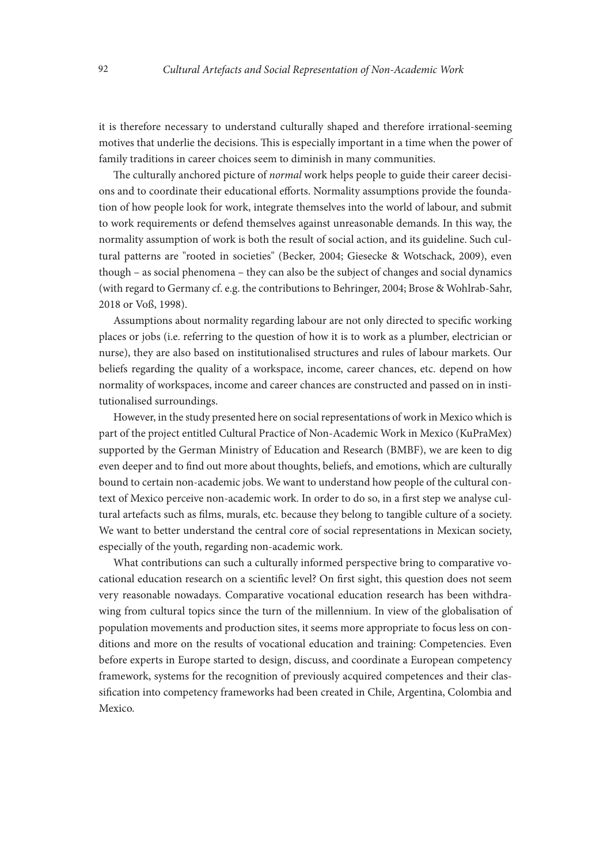it is therefore necessary to understand culturally shaped and therefore irrational-seeming motives that underlie the decisions. This is especially important in a time when the power of family traditions in career choices seem to diminish in many communities.

The culturally anchored picture of *normal* work helps people to guide their career decisions and to coordinate their educational efforts. Normality assumptions provide the foundation of how people look for work, integrate themselves into the world of labour, and submit to work requirements or defend themselves against unreasonable demands. In this way, the normality assumption of work is both the result of social action, and its guideline. Such cultural patterns are "rooted in societies" (Becker, 2004; Giesecke & Wotschack, 2009), even though – as social phenomena – they can also be the subject of changes and social dynamics (with regard to Germany cf. e.g. the contributions to Behringer, 2004; Brose & Wohlrab-Sahr, 2018 or Voß, 1998).

Assumptions about normality regarding labour are not only directed to specific working places or jobs (i.e. referring to the question of how it is to work as a plumber, electrician or nurse), they are also based on institutionalised structures and rules of labour markets. Our beliefs regarding the quality of a workspace, income, career chances, etc. depend on how normality of workspaces, income and career chances are constructed and passed on in institutionalised surroundings.

However, in the study presented here on social representations of work in Mexico which is part of the project entitled Cultural Practice of Non-Academic Work in Mexico (KuPraMex) supported by the German Ministry of Education and Research (BMBF), we are keen to dig even deeper and to find out more about thoughts, beliefs, and emotions, which are culturally bound to certain non-academic jobs. We want to understand how people of the cultural context of Mexico perceive non-academic work. In order to do so, in a first step we analyse cultural artefacts such as films, murals, etc. because they belong to tangible culture of a society. We want to better understand the central core of social representations in Mexican society, especially of the youth, regarding non-academic work.

What contributions can such a culturally informed perspective bring to comparative vocational education research on a scientific level? On first sight, this question does not seem very reasonable nowadays. Comparative vocational education research has been withdrawing from cultural topics since the turn of the millennium. In view of the globalisation of population movements and production sites, it seems more appropriate to focus less on conditions and more on the results of vocational education and training: Competencies. Even before experts in Europe started to design, discuss, and coordinate a European competency framework, systems for the recognition of previously acquired competences and their classification into competency frameworks had been created in Chile, Argentina, Colombia and Mexico.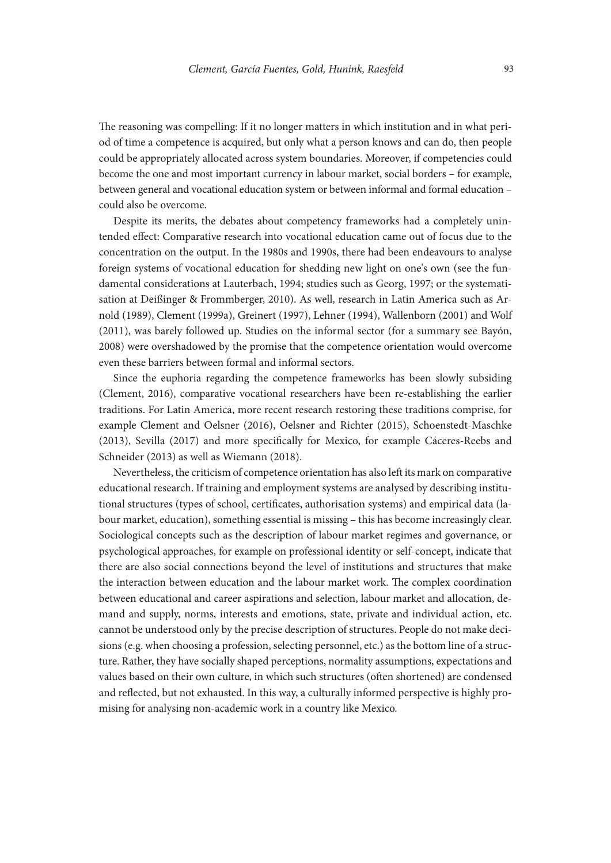The reasoning was compelling: If it no longer matters in which institution and in what period of time a competence is acquired, but only what a person knows and can do, then people could be appropriately allocated across system boundaries. Moreover, if competencies could become the one and most important currency in labour market, social borders – for example, between general and vocational education system or between informal and formal education – could also be overcome.

Despite its merits, the debates about competency frameworks had a completely unintended effect: Comparative research into vocational education came out of focus due to the concentration on the output. In the 1980s and 1990s, there had been endeavours to analyse foreign systems of vocational education for shedding new light on one's own (see the fundamental considerations at Lauterbach, 1994; studies such as Georg, 1997; or the systematisation at Deißinger & Frommberger, 2010). As well, research in Latin America such as Arnold (1989), Clement (1999a), Greinert (1997), Lehner (1994), Wallenborn (2001) and Wolf (2011), was barely followed up. Studies on the informal sector (for a summary see Bayón, 2008) were overshadowed by the promise that the competence orientation would overcome even these barriers between formal and informal sectors.

Since the euphoria regarding the competence frameworks has been slowly subsiding (Clement, 2016), comparative vocational researchers have been re-establishing the earlier traditions. For Latin America, more recent research restoring these traditions comprise, for example Clement and Oelsner (2016), Oelsner and Richter (2015), Schoenstedt-Maschke (2013), Sevilla (2017) and more specifically for Mexico, for example Cáceres-Reebs and Schneider (2013) as well as Wiemann (2018).

Nevertheless, the criticism of competence orientation has also left its mark on comparative educational research. If training and employment systems are analysed by describing institutional structures (types of school, certificates, authorisation systems) and empirical data (labour market, education), something essential is missing – this has become increasingly clear. Sociological concepts such as the description of labour market regimes and governance, or psychological approaches, for example on professional identity or self-concept, indicate that there are also social connections beyond the level of institutions and structures that make the interaction between education and the labour market work. The complex coordination between educational and career aspirations and selection, labour market and allocation, demand and supply, norms, interests and emotions, state, private and individual action, etc. cannot be understood only by the precise description of structures. People do not make decisions (e.g. when choosing a profession, selecting personnel, etc.) as the bottom line of a structure. Rather, they have socially shaped perceptions, normality assumptions, expectations and values based on their own culture, in which such structures (often shortened) are condensed and reflected, but not exhausted. In this way, a culturally informed perspective is highly promising for analysing non-academic work in a country like Mexico.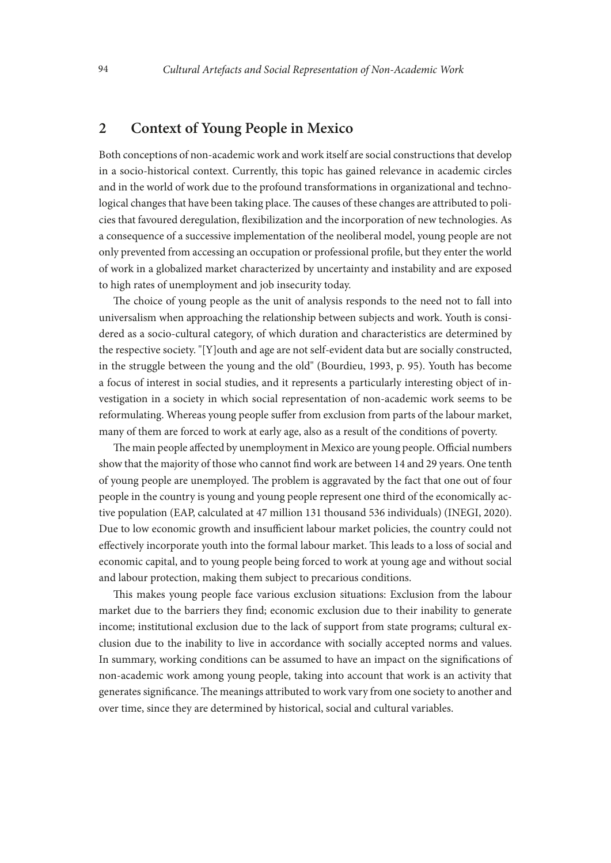#### **2 Context of Young People in Mexico**

Both conceptions of non-academic work and work itself are social constructions that develop in a socio-historical context. Currently, this topic has gained relevance in academic circles and in the world of work due to the profound transformations in organizational and technological changes that have been taking place. The causes of these changes are attributed to policies that favoured deregulation, flexibilization and the incorporation of new technologies. As a consequence of a successive implementation of the neoliberal model, young people are not only prevented from accessing an occupation or professional profile, but they enter the world of work in a globalized market characterized by uncertainty and instability and are exposed to high rates of unemployment and job insecurity today.

The choice of young people as the unit of analysis responds to the need not to fall into universalism when approaching the relationship between subjects and work. Youth is considered as a socio-cultural category, of which duration and characteristics are determined by the respective society. "[Y]outh and age are not self-evident data but are socially constructed, in the struggle between the young and the old" (Bourdieu, 1993, p. 95). Youth has become a focus of interest in social studies, and it represents a particularly interesting object of investigation in a society in which social representation of non-academic work seems to be reformulating. Whereas young people suffer from exclusion from parts of the labour market, many of them are forced to work at early age, also as a result of the conditions of poverty.

The main people affected by unemployment in Mexico are young people. Official numbers show that the majority of those who cannot find work are between 14 and 29 years. One tenth of young people are unemployed. The problem is aggravated by the fact that one out of four people in the country is young and young people represent one third of the economically active population (EAP, calculated at 47 million 131 thousand 536 individuals) (INEGI, 2020). Due to low economic growth and insufficient labour market policies, the country could not effectively incorporate youth into the formal labour market. This leads to a loss of social and economic capital, and to young people being forced to work at young age and without social and labour protection, making them subject to precarious conditions.

This makes young people face various exclusion situations: Exclusion from the labour market due to the barriers they find; economic exclusion due to their inability to generate income; institutional exclusion due to the lack of support from state programs; cultural exclusion due to the inability to live in accordance with socially accepted norms and values. In summary, working conditions can be assumed to have an impact on the significations of non-academic work among young people, taking into account that work is an activity that generates significance. The meanings attributed to work vary from one society to another and over time, since they are determined by historical, social and cultural variables.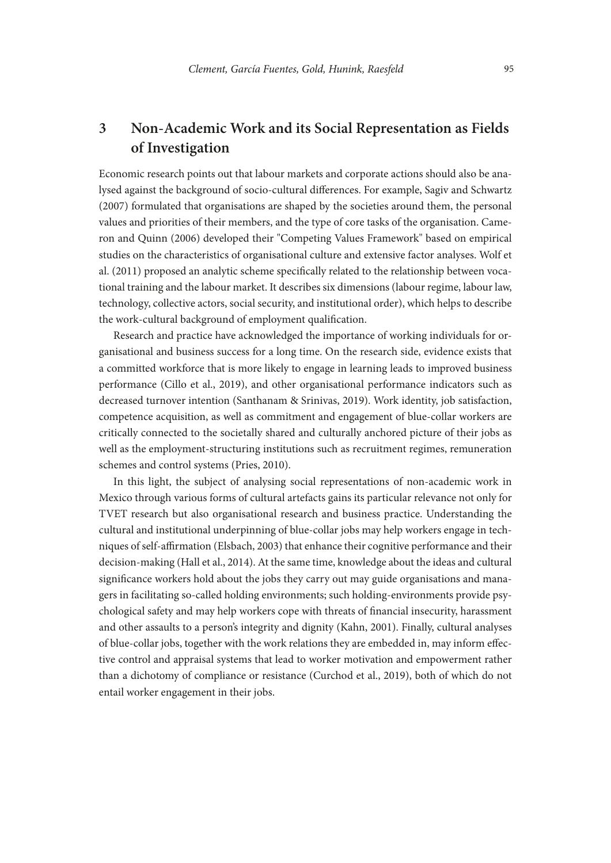## **3 Non-Academic Work and its Social Representation as Fields of Investigation**

Economic research points out that labour markets and corporate actions should also be analysed against the background of socio-cultural differences. For example, Sagiv and Schwartz (2007) formulated that organisations are shaped by the societies around them, the personal values and priorities of their members, and the type of core tasks of the organisation. Cameron and Quinn (2006) developed their "Competing Values Framework" based on empirical studies on the characteristics of organisational culture and extensive factor analyses. Wolf et al. (2011) proposed an analytic scheme specifically related to the relationship between vocational training and the labour market. It describes six dimensions (labour regime, labour law, technology, collective actors, social security, and institutional order), which helps to describe the work-cultural background of employment qualification.

Research and practice have acknowledged the importance of working individuals for organisational and business success for a long time. On the research side, evidence exists that a committed workforce that is more likely to engage in learning leads to improved business performance (Cillo et al., 2019), and other organisational performance indicators such as decreased turnover intention (Santhanam & Srinivas, 2019). Work identity, job satisfaction, competence acquisition, as well as commitment and engagement of blue-collar workers are critically connected to the societally shared and culturally anchored picture of their jobs as well as the employment-structuring institutions such as recruitment regimes, remuneration schemes and control systems (Pries, 2010).

In this light, the subject of analysing social representations of non-academic work in Mexico through various forms of cultural artefacts gains its particular relevance not only for TVET research but also organisational research and business practice. Understanding the cultural and institutional underpinning of blue-collar jobs may help workers engage in techniques of self-affirmation (Elsbach, 2003) that enhance their cognitive performance and their decision-making (Hall et al., 2014). At the same time, knowledge about the ideas and cultural significance workers hold about the jobs they carry out may guide organisations and managers in facilitating so-called holding environments; such holding-environments provide psychological safety and may help workers cope with threats of financial insecurity, harassment and other assaults to a person's integrity and dignity (Kahn, 2001). Finally, cultural analyses of blue-collar jobs, together with the work relations they are embedded in, may inform effective control and appraisal systems that lead to worker motivation and empowerment rather than a dichotomy of compliance or resistance (Curchod et al., 2019), both of which do not entail worker engagement in their jobs.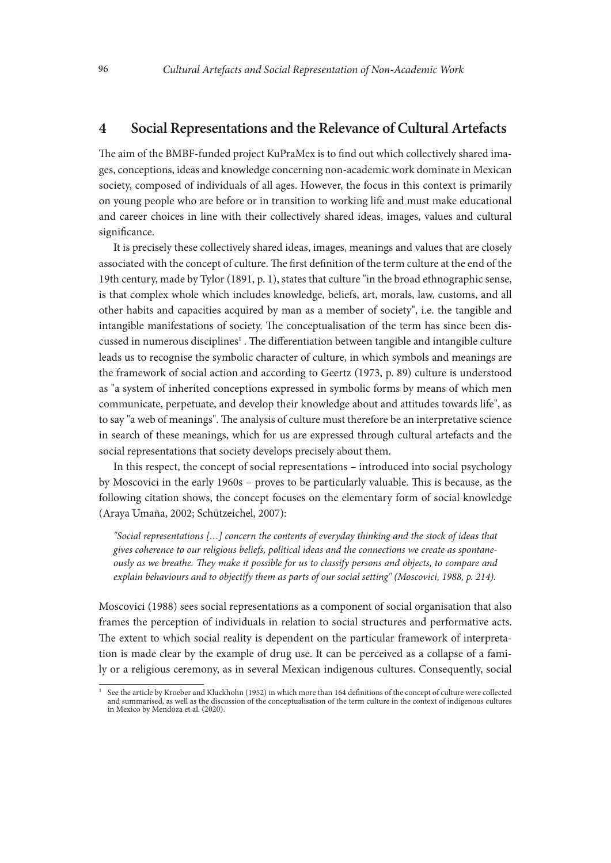#### **4 Social Representations and the Relevance of Cultural Artefacts**

The aim of the BMBF-funded project KuPraMex is to find out which collectively shared images, conceptions, ideas and knowledge concerning non-academic work dominate in Mexican society, composed of individuals of all ages. However, the focus in this context is primarily on young people who are before or in transition to working life and must make educational and career choices in line with their collectively shared ideas, images, values and cultural significance.

It is precisely these collectively shared ideas, images, meanings and values that are closely associated with the concept of culture. The first definition of the term culture at the end of the 19th century, made by Tylor (1891, p. 1), states that culture "in the broad ethnographic sense, is that complex whole which includes knowledge, beliefs, art, morals, law, customs, and all other habits and capacities acquired by man as a member of society", i.e. the tangible and intangible manifestations of society. The conceptualisation of the term has since been discussed in numerous disciplines<sup>1</sup>. The differentiation between tangible and intangible culture leads us to recognise the symbolic character of culture, in which symbols and meanings are the framework of social action and according to Geertz (1973, p. 89) culture is understood as "a system of inherited conceptions expressed in symbolic forms by means of which men communicate, perpetuate, and develop their knowledge about and attitudes towards life", as to say "a web of meanings". The analysis of culture must therefore be an interpretative science in search of these meanings, which for us are expressed through cultural artefacts and the social representations that society develops precisely about them.

In this respect, the concept of social representations – introduced into social psychology by Moscovici in the early 1960s – proves to be particularly valuable. This is because, as the following citation shows, the concept focuses on the elementary form of social knowledge (Araya Umaña, 2002; Schützeichel, 2007):

*"Social representations […] concern the contents of everyday thinking and the stock of ideas that gives coherence to our religious beliefs, political ideas and the connections we create as spontaneously as we breathe. They make it possible for us to classify persons and objects, to compare and explain behaviours and to objectify them as parts of our social setting" (Moscovici, 1988, p. 214).*

Moscovici (1988) sees social representations as a component of social organisation that also frames the perception of individuals in relation to social structures and performative acts. The extent to which social reality is dependent on the particular framework of interpretation is made clear by the example of drug use. It can be perceived as a collapse of a family or a religious ceremony, as in several Mexican indigenous cultures. Consequently, social

<sup>1</sup> See the article by Kroeber and Kluckhohn (1952) in which more than 164 definitions of the concept of culture were collected and summarised, as well as the discussion of the conceptualisation of the term culture in the context of indigenous cultures in Mexico by Mendoza et al. (2020).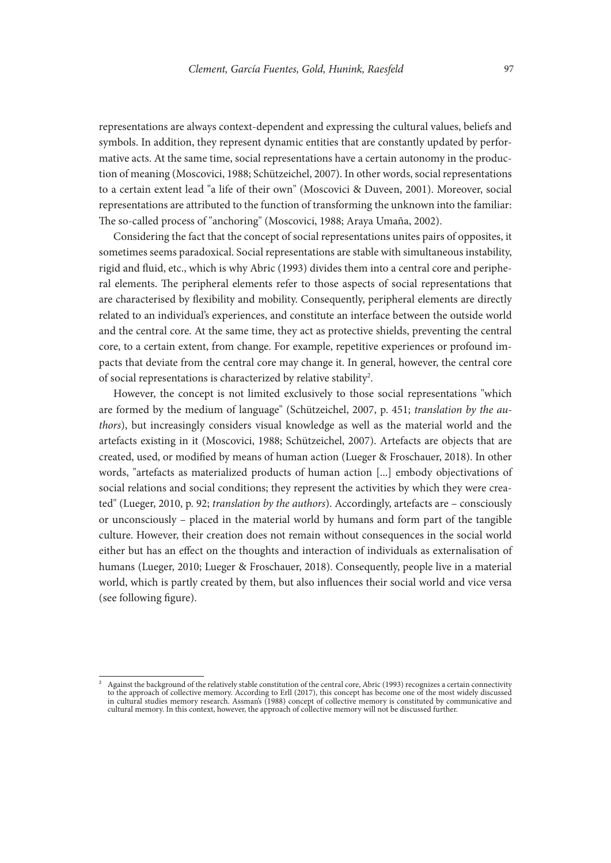representations are always context-dependent and expressing the cultural values, beliefs and symbols. In addition, they represent dynamic entities that are constantly updated by performative acts. At the same time, social representations have a certain autonomy in the production of meaning (Moscovici, 1988; Schützeichel, 2007). In other words, social representations to a certain extent lead "a life of their own" (Moscovici & Duveen, 2001). Moreover, social representations are attributed to the function of transforming the unknown into the familiar: The so-called process of "anchoring" (Moscovici, 1988; Araya Umaña, 2002).

Considering the fact that the concept of social representations unites pairs of opposites, it sometimes seems paradoxical. Social representations are stable with simultaneous instability, rigid and fluid, etc., which is why Abric (1993) divides them into a central core and peripheral elements. The peripheral elements refer to those aspects of social representations that are characterised by flexibility and mobility. Consequently, peripheral elements are directly related to an individual's experiences, and constitute an interface between the outside world and the central core. At the same time, they act as protective shields, preventing the central core, to a certain extent, from change. For example, repetitive experiences or profound impacts that deviate from the central core may change it. In general, however, the central core of social representations is characterized by relative stability<sup>2</sup>.

However, the concept is not limited exclusively to those social representations "which are formed by the medium of language" (Schützeichel, 2007, p. 451; *translation by the authors*), but increasingly considers visual knowledge as well as the material world and the artefacts existing in it (Moscovici, 1988; Schützeichel, 2007). Artefacts are objects that are created, used, or modified by means of human action (Lueger & Froschauer, 2018). In other words, "artefacts as materialized products of human action [...] embody objectivations of social relations and social conditions; they represent the activities by which they were created" (Lueger, 2010, p. 92; *translation by the authors*). Accordingly, artefacts are – consciously or unconsciously – placed in the material world by humans and form part of the tangible culture. However, their creation does not remain without consequences in the social world either but has an effect on the thoughts and interaction of individuals as externalisation of humans (Lueger, 2010; Lueger & Froschauer, 2018). Consequently, people live in a material world, which is partly created by them, but also influences their social world and vice versa (see following figure).

<sup>2</sup> Against the background of the relatively stable constitution of the central core, Abric (1993) recognizes a certain connectivity to the approach of collective memory. According to Erll (2017), this concept has become one of the most widely discussed in cultural studies memory research. Assman's (1988) concept of collective memory is constituted by communicative and cultural memory. In this context, however, the approach of collective memory will not be discussed further.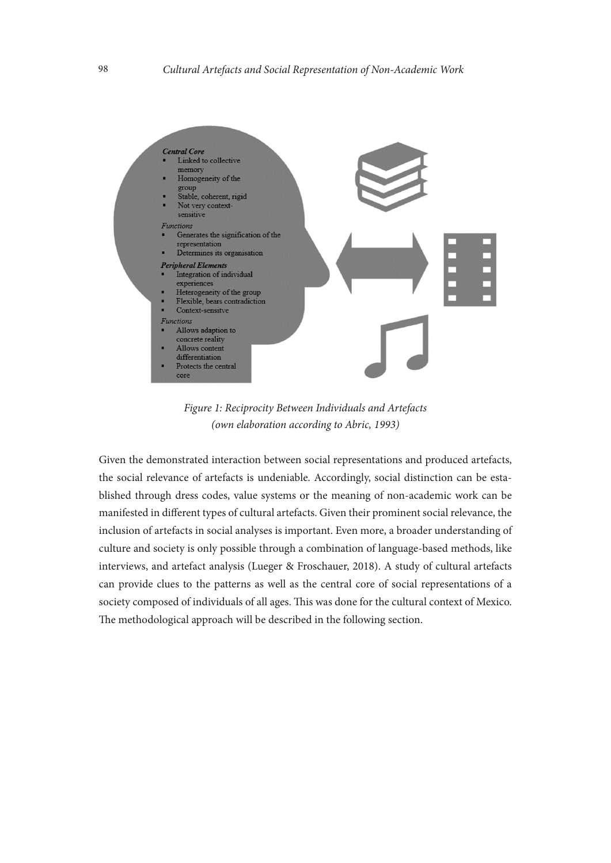

*Figure 1: Reciprocity Between Individuals and Artefacts (own elaboration according to Abric, 1993)*

Given the demonstrated interaction between social representations and produced artefacts, the social relevance of artefacts is undeniable. Accordingly, social distinction can be established through dress codes, value systems or the meaning of non-academic work can be manifested in different types of cultural artefacts. Given their prominent social relevance, the inclusion of artefacts in social analyses is important. Even more, a broader understanding of culture and society is only possible through a combination of language-based methods, like interviews, and artefact analysis (Lueger & Froschauer, 2018). A study of cultural artefacts can provide clues to the patterns as well as the central core of social representations of a society composed of individuals of all ages. This was done for the cultural context of Mexico. The methodological approach will be described in the following section.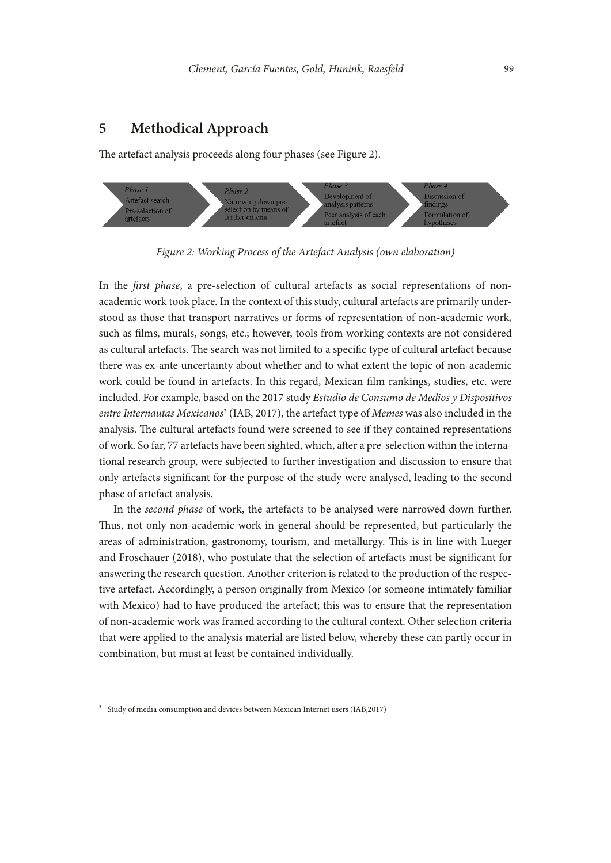#### **5 Methodical Approach**

The artefact analysis proceeds along four phases (see Figure 2).



*Figure 2: Working Process of the Artefact Analysis (own elaboration)*

In the *first phase*, a pre-selection of cultural artefacts as social representations of nonacademic work took place. In the context of this study, cultural artefacts are primarily understood as those that transport narratives or forms of representation of non-academic work, such as films, murals, songs, etc.; however, tools from working contexts are not considered as cultural artefacts. The search was not limited to a specific type of cultural artefact because there was ex-ante uncertainty about whether and to what extent the topic of non-academic work could be found in artefacts. In this regard, Mexican film rankings, studies, etc. were included. For example, based on the 2017 study *Estudio de Consumo de Medios y Dispositivos entre Internautas Mexicanos*<sup>3</sup> (IAB, 2017), the artefact type of *Memes* was also included in the analysis. The cultural artefacts found were screened to see if they contained representations of work. So far, 77 artefacts have been sighted, which, after a pre-selection within the international research group, were subjected to further investigation and discussion to ensure that only artefacts significant for the purpose of the study were analysed, leading to the second phase of artefact analysis.

In the *second phase* of work, the artefacts to be analysed were narrowed down further. Thus, not only non-academic work in general should be represented, but particularly the areas of administration, gastronomy, tourism, and metallurgy. This is in line with Lueger and Froschauer (2018), who postulate that the selection of artefacts must be significant for answering the research question. Another criterion is related to the production of the respective artefact. Accordingly, a person originally from Mexico (or someone intimately familiar with Mexico) had to have produced the artefact; this was to ensure that the representation of non-academic work was framed according to the cultural context. Other selection criteria that were applied to the analysis material are listed below, whereby these can partly occur in combination, but must at least be contained individually.

<sup>3</sup> Study of media consumption and devices between Mexican Internet users (IAB,2017)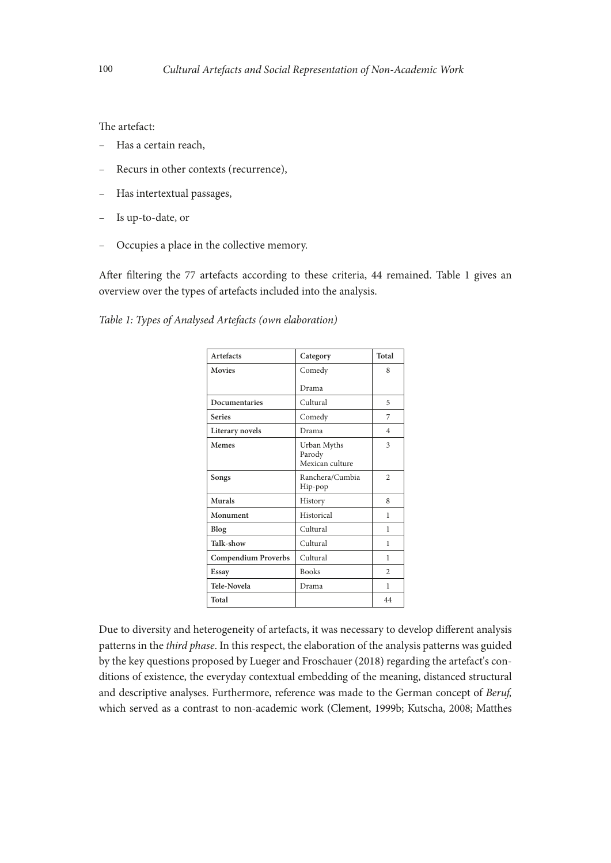The artefact:

- Has a certain reach,
- Recurs in other contexts (recurrence),
- Has intertextual passages,
- Is up-to-date, or
- Occupies a place in the collective memory.

After filtering the 77 artefacts according to these criteria, 44 remained. Table 1 gives an overview over the types of artefacts included into the analysis.

*Table 1: Types of Analysed Artefacts (own elaboration)*

| Artefacts                  | Category                                 | Total          |
|----------------------------|------------------------------------------|----------------|
| <b>Movies</b>              | Comedy                                   | 8              |
|                            | Drama                                    |                |
| Documentaries              | Cultural                                 | 5              |
| <b>Series</b>              | Comedy                                   | 7              |
| Literary novels            | Drama                                    | $\overline{4}$ |
| Memes                      | Urban Myths<br>Parody<br>Mexican culture | 3              |
| Songs                      | Ranchera/Cumbia<br>Hip-pop               | $\overline{c}$ |
| Murals                     | History                                  | 8              |
| Monument                   | Historical                               | 1              |
| Blog                       | Cultural                                 | 1              |
| Talk-show                  | Cultural                                 | 1              |
| <b>Compendium Proverbs</b> | Cultural                                 | 1              |
| Essay                      | <b>Books</b>                             | $\overline{c}$ |
| Tele-Novela                | Drama                                    | 1              |
| Total                      |                                          | 44             |

Due to diversity and heterogeneity of artefacts, it was necessary to develop different analysis patterns in the *third phase*. In this respect, the elaboration of the analysis patterns was guided by the key questions proposed by Lueger and Froschauer (2018) regarding the artefact's conditions of existence, the everyday contextual embedding of the meaning, distanced structural and descriptive analyses. Furthermore, reference was made to the German concept of *Beruf,*  which served as a contrast to non-academic work (Clement, 1999b; Kutscha, 2008; Matthes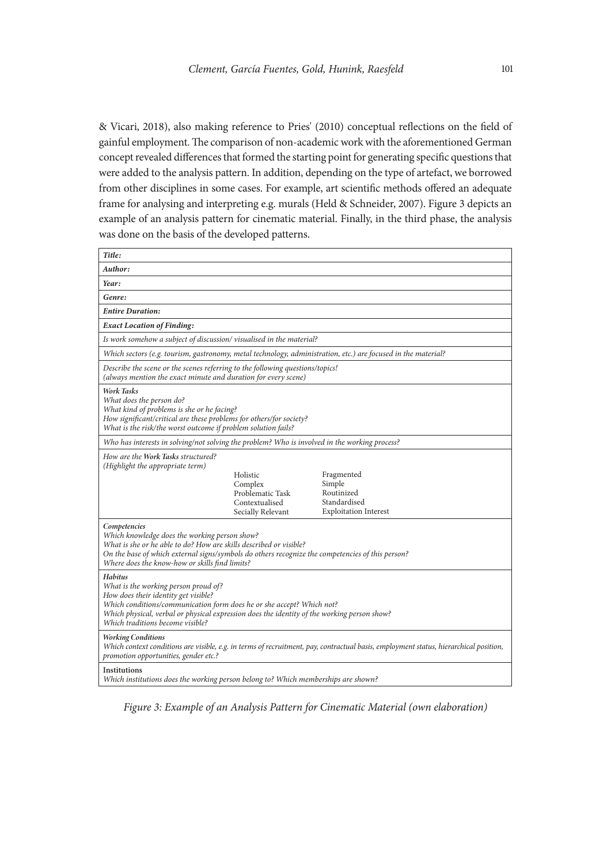& Vicari, 2018), also making reference to Pries' (2010) conceptual reflections on the field of gainful employment. The comparison of non-academic work with the aforementioned German concept revealed differences that formed the starting point for generating specific questions that were added to the analysis pattern. In addition, depending on the type of artefact, we borrowed from other disciplines in some cases. For example, art scientific methods offered an adequate frame for analysing and interpreting e.g. murals (Held & Schneider, 2007). Figure 3 depicts an example of an analysis pattern for cinematic material. Finally, in the third phase, the analysis was done on the basis of the developed patterns.

| Title:                                                                                                                                                                                                                                                                                                     |                                                                                |                                                                                                                                       |  |
|------------------------------------------------------------------------------------------------------------------------------------------------------------------------------------------------------------------------------------------------------------------------------------------------------------|--------------------------------------------------------------------------------|---------------------------------------------------------------------------------------------------------------------------------------|--|
| Author:                                                                                                                                                                                                                                                                                                    |                                                                                |                                                                                                                                       |  |
| Year:                                                                                                                                                                                                                                                                                                      |                                                                                |                                                                                                                                       |  |
| Genre:                                                                                                                                                                                                                                                                                                     |                                                                                |                                                                                                                                       |  |
| <b>Entire Duration:</b>                                                                                                                                                                                                                                                                                    |                                                                                |                                                                                                                                       |  |
| <b>Exact Location of Finding:</b>                                                                                                                                                                                                                                                                          |                                                                                |                                                                                                                                       |  |
| Is work somehow a subject of discussion/visualised in the material?                                                                                                                                                                                                                                        |                                                                                |                                                                                                                                       |  |
| Which sectors (e.g. tourism, gastronomy, metal technology, administration, etc.) are focused in the material?                                                                                                                                                                                              |                                                                                |                                                                                                                                       |  |
| Describe the scene or the scenes referring to the following questions/topics!<br>(always mention the exact minute and duration for every scene)                                                                                                                                                            |                                                                                |                                                                                                                                       |  |
| <b>Work Tasks</b><br>What does the person do?<br>What kind of problems is she or he facing?<br>How significant/critical are these problems for others/for society?<br>What is the risk/the worst outcome if problem solution fails?                                                                        |                                                                                |                                                                                                                                       |  |
| Who has interests in solving/not solving the problem? Who is involved in the working process?                                                                                                                                                                                                              |                                                                                |                                                                                                                                       |  |
| How are the Work Tasks structured?<br>(Highlight the appropriate term)                                                                                                                                                                                                                                     | Holistic<br>Complex<br>Problematic Task<br>Contextualised<br>Secially Relevant | Fragmented<br>Simple<br>Routinized<br>Standardised<br><b>Exploitation Interest</b>                                                    |  |
| Competencies<br>Which knowledge does the working person show?<br>What is she or he able to do? How are skills described or visible?<br>On the base of which external signs/symbols do others recognize the competencies of this person?<br>Where does the know-how or skills find limits?                  |                                                                                |                                                                                                                                       |  |
| <b>Habitus</b><br>What is the working person proud of?<br>How does their identity get visible?<br>Which conditions/communication form does he or she accept? Which not?<br>Which physical, verbal or physical expression does the identity of the working person show?<br>Which traditions become visible? |                                                                                |                                                                                                                                       |  |
| <b>Working Conditions</b><br>promotion opportunities, gender etc.?                                                                                                                                                                                                                                         |                                                                                | Which context conditions are visible, e.g. in terms of recruitment, pay, contractual basis, employment status, hierarchical position, |  |
| Institutions<br>Which institutions does the working person belong to? Which memberships are shown?                                                                                                                                                                                                         |                                                                                |                                                                                                                                       |  |

*Figure 3: Example of an Analysis Pattern for Cinematic Material (own elaboration)*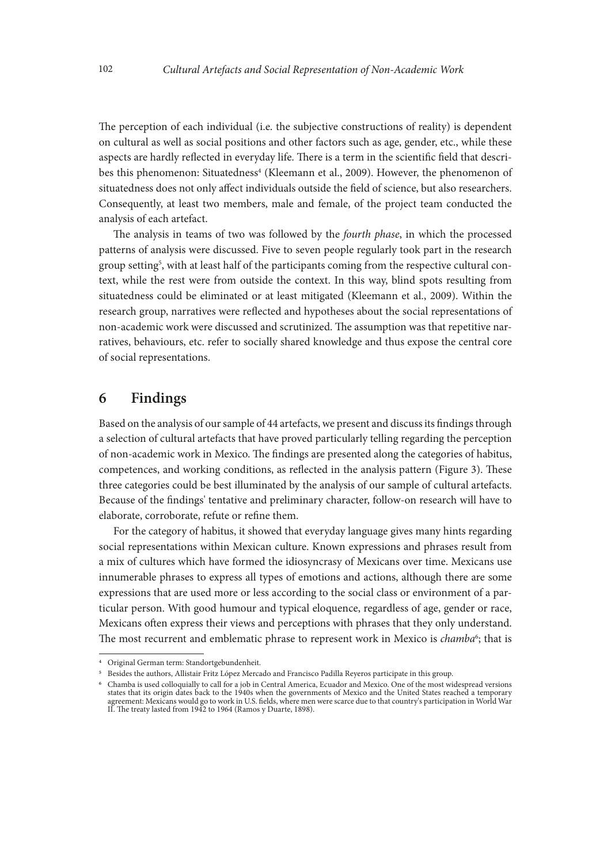The perception of each individual (i.e. the subjective constructions of reality) is dependent on cultural as well as social positions and other factors such as age, gender, etc., while these aspects are hardly reflected in everyday life. There is a term in the scientific field that describes this phenomenon: Situatedness<sup>4</sup> (Kleemann et al., 2009). However, the phenomenon of situatedness does not only affect individuals outside the field of science, but also researchers. Consequently, at least two members, male and female, of the project team conducted the analysis of each artefact.

The analysis in teams of two was followed by the *fourth phase*, in which the processed patterns of analysis were discussed. Five to seven people regularly took part in the research group setting<sup>5</sup>, with at least half of the participants coming from the respective cultural context, while the rest were from outside the context. In this way, blind spots resulting from situatedness could be eliminated or at least mitigated (Kleemann et al., 2009). Within the research group, narratives were reflected and hypotheses about the social representations of non-academic work were discussed and scrutinized. The assumption was that repetitive narratives, behaviours, etc. refer to socially shared knowledge and thus expose the central core of social representations.

#### **6 Findings**

Based on the analysis of our sample of 44 artefacts, we present and discuss its findings through a selection of cultural artefacts that have proved particularly telling regarding the perception of non-academic work in Mexico. The findings are presented along the categories of habitus, competences, and working conditions, as reflected in the analysis pattern (Figure 3). These three categories could be best illuminated by the analysis of our sample of cultural artefacts. Because of the findings' tentative and preliminary character, follow-on research will have to elaborate, corroborate, refute or refine them.

For the category of habitus, it showed that everyday language gives many hints regarding social representations within Mexican culture. Known expressions and phrases result from a mix of cultures which have formed the idiosyncrasy of Mexicans over time. Mexicans use innumerable phrases to express all types of emotions and actions, although there are some expressions that are used more or less according to the social class or environment of a particular person. With good humour and typical eloquence, regardless of age, gender or race, Mexicans often express their views and perceptions with phrases that they only understand. The most recurrent and emblematic phrase to represent work in Mexico is *chamba*<sup>6</sup>; that is

<sup>4</sup> Original German term: Standortgebundenheit.

<sup>5</sup> Besides the authors, Allistair Fritz López Mercado and Francisco Padilla Reyeros participate in this group.

<sup>6</sup> Chamba is used colloquially to call for a job in Central America, Ecuador and Mexico. One of the most widespread versions states that its origin dates back to the 1940s when the governments of Mexico and the United States reached a temporary agreement: Mexicans would go to work in U.S. fields, where men were scarce due to that country's participation in World War II. The treaty lasted from 1942 to 1964 (Ramos y Duarte, 1898).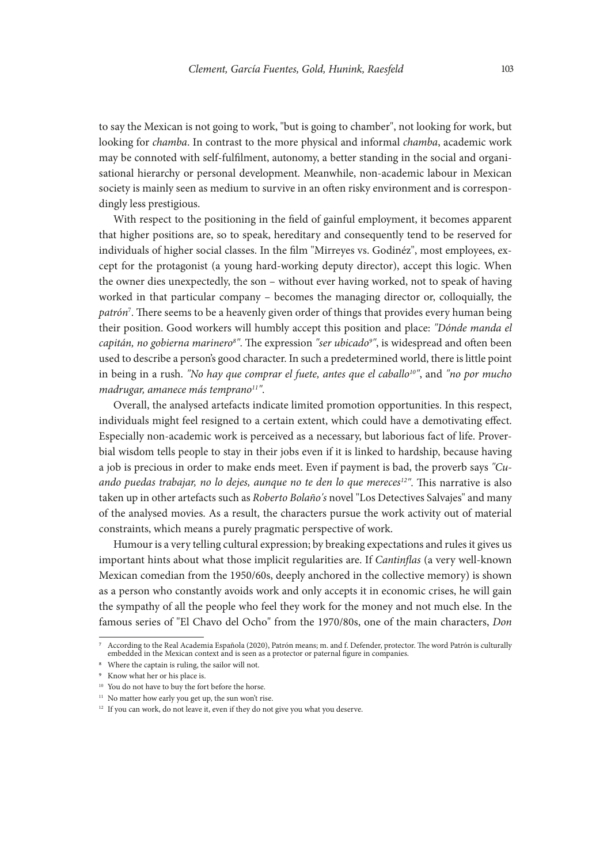to say the Mexican is not going to work, "but is going to chamber", not looking for work, but looking for *chamba*. In contrast to the more physical and informal *chamba*, academic work may be connoted with self-fulfilment, autonomy, a better standing in the social and organisational hierarchy or personal development. Meanwhile, non-academic labour in Mexican society is mainly seen as medium to survive in an often risky environment and is correspondingly less prestigious.

With respect to the positioning in the field of gainful employment, it becomes apparent that higher positions are, so to speak, hereditary and consequently tend to be reserved for individuals of higher social classes. In the film "Mirreyes vs. Godinéz", most employees, except for the protagonist (a young hard-working deputy director), accept this logic. When the owner dies unexpectedly, the son – without ever having worked, not to speak of having worked in that particular company – becomes the managing director or, colloquially, the *patrón*<sup>7</sup> . There seems to be a heavenly given order of things that provides every human being their position. Good workers will humbly accept this position and place: *"Dónde manda el capitán, no gobierna marinero8 "*. The expression *"ser ubicado9 "*, is widespread and often been used to describe a person's good character. In such a predetermined world, there is little point in being in a rush. "No hay que comprar el fuete, antes que el caballo<sup>10"</sup>, and "no por mucho *madrugar, amanece más temprano11"*.

Overall, the analysed artefacts indicate limited promotion opportunities. In this respect, individuals might feel resigned to a certain extent, which could have a demotivating effect. Especially non-academic work is perceived as a necessary, but laborious fact of life. Proverbial wisdom tells people to stay in their jobs even if it is linked to hardship, because having a job is precious in order to make ends meet. Even if payment is bad, the proverb says *"Cuando puedas trabajar, no lo dejes, aunque no te den lo que mereces12"*. This narrative is also taken up in other artefacts such as *Roberto Bolaño's* novel "Los Detectives Salvajes" and many of the analysed movies. As a result, the characters pursue the work activity out of material constraints, which means a purely pragmatic perspective of work.

Humour is a very telling cultural expression; by breaking expectations and rules it gives us important hints about what those implicit regularities are. If *Cantinflas* (a very well-known Mexican comedian from the 1950/60s, deeply anchored in the collective memory) is shown as a person who constantly avoids work and only accepts it in economic crises, he will gain the sympathy of all the people who feel they work for the money and not much else. In the famous series of "El Chavo del Ocho" from the 1970/80s, one of the main characters, *Don* 

<sup>7</sup> According to the Real Academia Española (2020), Patrón means; m. and f. Defender, protector. The word Patrón is culturally embedded in the Mexican context and is seen as a protector or paternal figure in companies.

<sup>8</sup> Where the captain is ruling, the sailor will not.

<sup>9</sup> Know what her or his place is.

<sup>&</sup>lt;sup>10</sup> You do not have to buy the fort before the horse.

<sup>&</sup>lt;sup>11</sup> No matter how early you get up, the sun won't rise.

<sup>&</sup>lt;sup>12</sup> If you can work, do not leave it, even if they do not give you what you deserve.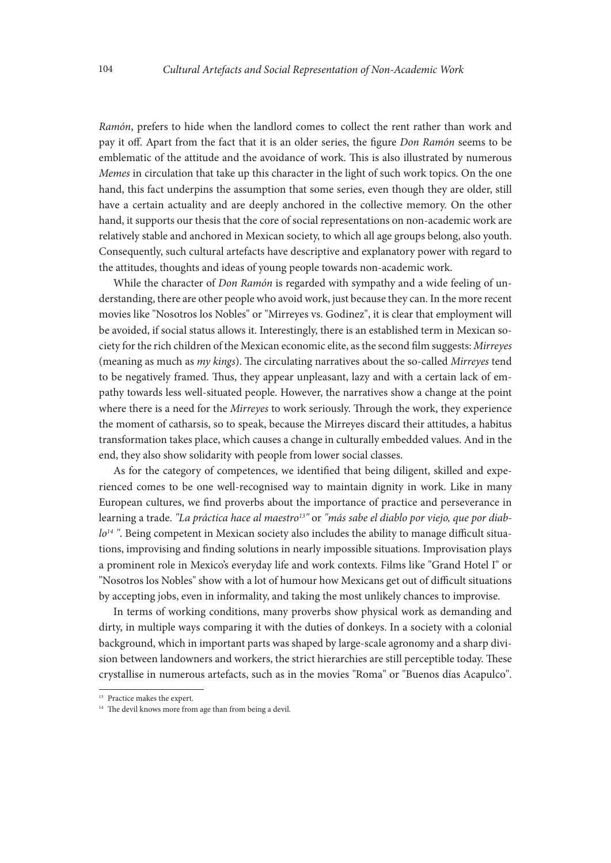*Ramón*, prefers to hide when the landlord comes to collect the rent rather than work and pay it off. Apart from the fact that it is an older series, the figure *Don Ramón* seems to be emblematic of the attitude and the avoidance of work. This is also illustrated by numerous *Memes* in circulation that take up this character in the light of such work topics. On the one hand, this fact underpins the assumption that some series, even though they are older, still have a certain actuality and are deeply anchored in the collective memory. On the other hand, it supports our thesis that the core of social representations on non-academic work are relatively stable and anchored in Mexican society, to which all age groups belong, also youth. Consequently, such cultural artefacts have descriptive and explanatory power with regard to the attitudes, thoughts and ideas of young people towards non-academic work.

While the character of *Don Ramón* is regarded with sympathy and a wide feeling of understanding, there are other people who avoid work, just because they can. In the more recent movies like "Nosotros los Nobles" or "Mirreyes vs. Godinez", it is clear that employment will be avoided, if social status allows it. Interestingly, there is an established term in Mexican society for the rich children of the Mexican economic elite, as the second film suggests: *Mirreyes* (meaning as much as *my kings*). The circulating narratives about the so-called *Mirreyes* tend to be negatively framed. Thus, they appear unpleasant, lazy and with a certain lack of empathy towards less well-situated people. However, the narratives show a change at the point where there is a need for the *Mirreyes* to work seriously. Through the work, they experience the moment of catharsis, so to speak, because the Mirreyes discard their attitudes, a habitus transformation takes place, which causes a change in culturally embedded values. And in the end, they also show solidarity with people from lower social classes.

As for the category of competences, we identified that being diligent, skilled and experienced comes to be one well-recognised way to maintain dignity in work. Like in many European cultures, we find proverbs about the importance of practice and perseverance in learning a trade. *"La práctica hace al maestro13"* or *"más sabe el diablo por viejo, que por diablo14 "*. Being competent in Mexican society also includes the ability to manage difficult situations, improvising and finding solutions in nearly impossible situations. Improvisation plays a prominent role in Mexico's everyday life and work contexts. Films like "Grand Hotel I" or "Nosotros los Nobles" show with a lot of humour how Mexicans get out of difficult situations by accepting jobs, even in informality, and taking the most unlikely chances to improvise.

In terms of working conditions, many proverbs show physical work as demanding and dirty, in multiple ways comparing it with the duties of donkeys. In a society with a colonial background, which in important parts was shaped by large-scale agronomy and a sharp division between landowners and workers, the strict hierarchies are still perceptible today. These crystallise in numerous artefacts, such as in the movies "Roma" or "Buenos días Acapulco".

<sup>&</sup>lt;sup>13</sup> Practice makes the expert.

<sup>&</sup>lt;sup>14</sup> The devil knows more from age than from being a devil.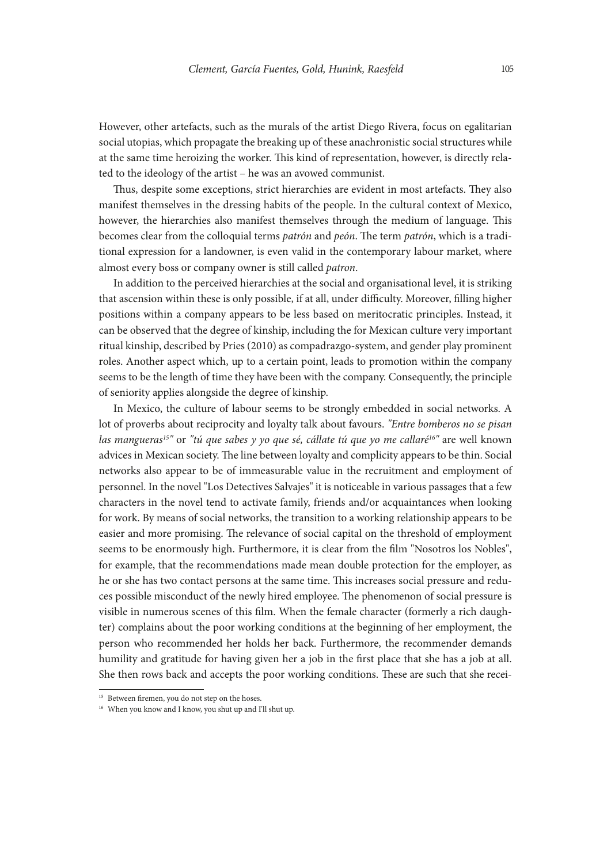However, other artefacts, such as the murals of the artist Diego Rivera, focus on egalitarian social utopias, which propagate the breaking up of these anachronistic social structures while at the same time heroizing the worker. This kind of representation, however, is directly related to the ideology of the artist – he was an avowed communist.

Thus, despite some exceptions, strict hierarchies are evident in most artefacts. They also manifest themselves in the dressing habits of the people. In the cultural context of Mexico, however, the hierarchies also manifest themselves through the medium of language. This becomes clear from the colloquial terms *patrón* and *peón*. The term *patrón*, which is a traditional expression for a landowner, is even valid in the contemporary labour market, where almost every boss or company owner is still called *patron*.

In addition to the perceived hierarchies at the social and organisational level, it is striking that ascension within these is only possible, if at all, under difficulty. Moreover, filling higher positions within a company appears to be less based on meritocratic principles. Instead, it can be observed that the degree of kinship, including the for Mexican culture very important ritual kinship, described by Pries (2010) as compadrazgo-system, and gender play prominent roles. Another aspect which, up to a certain point, leads to promotion within the company seems to be the length of time they have been with the company. Consequently, the principle of seniority applies alongside the degree of kinship.

In Mexico, the culture of labour seems to be strongly embedded in social networks. A lot of proverbs about reciprocity and loyalty talk about favours. *"Entre bomberos no se pisan las mangueras15"* or *"tú que sabes y yo que sé, cállate tú que yo me callaré16"* are well known advices in Mexican society. The line between loyalty and complicity appears to be thin. Social networks also appear to be of immeasurable value in the recruitment and employment of personnel. In the novel "Los Detectives Salvajes" it is noticeable in various passages that a few characters in the novel tend to activate family, friends and/or acquaintances when looking for work. By means of social networks, the transition to a working relationship appears to be easier and more promising. The relevance of social capital on the threshold of employment seems to be enormously high. Furthermore, it is clear from the film "Nosotros los Nobles", for example, that the recommendations made mean double protection for the employer, as he or she has two contact persons at the same time. This increases social pressure and reduces possible misconduct of the newly hired employee. The phenomenon of social pressure is visible in numerous scenes of this film. When the female character (formerly a rich daughter) complains about the poor working conditions at the beginning of her employment, the person who recommended her holds her back. Furthermore, the recommender demands humility and gratitude for having given her a job in the first place that she has a job at all. She then rows back and accepts the poor working conditions. These are such that she recei-

<sup>&</sup>lt;sup>15</sup> Between firemen, you do not step on the hoses.

<sup>&</sup>lt;sup>16</sup> When you know and I know, you shut up and I'll shut up.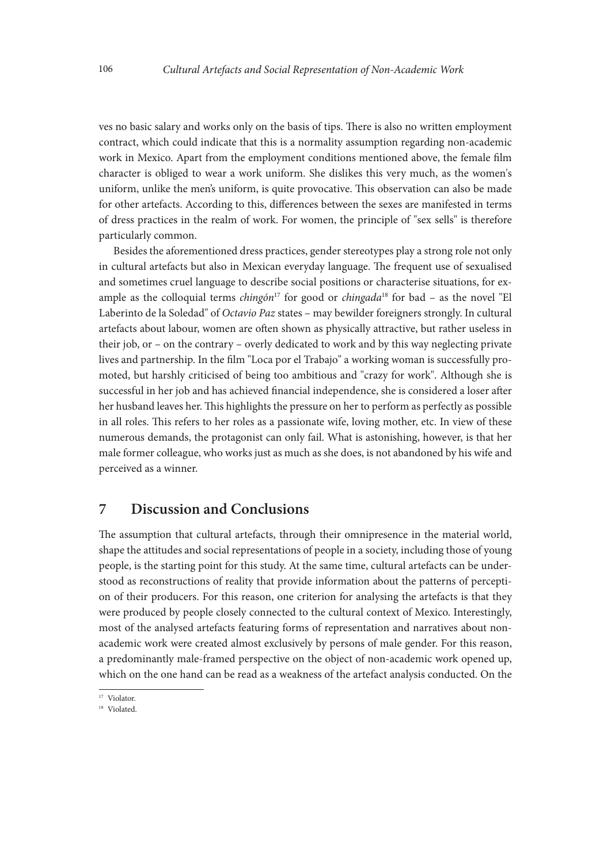ves no basic salary and works only on the basis of tips. There is also no written employment contract, which could indicate that this is a normality assumption regarding non-academic work in Mexico. Apart from the employment conditions mentioned above, the female film character is obliged to wear a work uniform. She dislikes this very much, as the women's uniform, unlike the men's uniform, is quite provocative. This observation can also be made for other artefacts. According to this, differences between the sexes are manifested in terms of dress practices in the realm of work. For women, the principle of "sex sells" is therefore particularly common.

Besides the aforementioned dress practices, gender stereotypes play a strong role not only in cultural artefacts but also in Mexican everyday language. The frequent use of sexualised and sometimes cruel language to describe social positions or characterise situations, for example as the colloquial terms *chingón*17 for good or *chingada*18 for bad – as the novel "El Laberinto de la Soledad" of *Octavio Paz* states – may bewilder foreigners strongly. In cultural artefacts about labour, women are often shown as physically attractive, but rather useless in their job, or – on the contrary – overly dedicated to work and by this way neglecting private lives and partnership. In the film "Loca por el Trabajo" a working woman is successfully promoted, but harshly criticised of being too ambitious and "crazy for work". Although she is successful in her job and has achieved financial independence, she is considered a loser after her husband leaves her. This highlights the pressure on her to perform as perfectly as possible in all roles. This refers to her roles as a passionate wife, loving mother, etc. In view of these numerous demands, the protagonist can only fail. What is astonishing, however, is that her male former colleague, who works just as much as she does, is not abandoned by his wife and perceived as a winner.

#### **7 Discussion and Conclusions**

The assumption that cultural artefacts, through their omnipresence in the material world, shape the attitudes and social representations of people in a society, including those of young people, is the starting point for this study. At the same time, cultural artefacts can be understood as reconstructions of reality that provide information about the patterns of perception of their producers. For this reason, one criterion for analysing the artefacts is that they were produced by people closely connected to the cultural context of Mexico. Interestingly, most of the analysed artefacts featuring forms of representation and narratives about nonacademic work were created almost exclusively by persons of male gender. For this reason, a predominantly male-framed perspective on the object of non-academic work opened up, which on the one hand can be read as a weakness of the artefact analysis conducted. On the

<sup>&</sup>lt;sup>17</sup> Violator.

<sup>18</sup> Violated.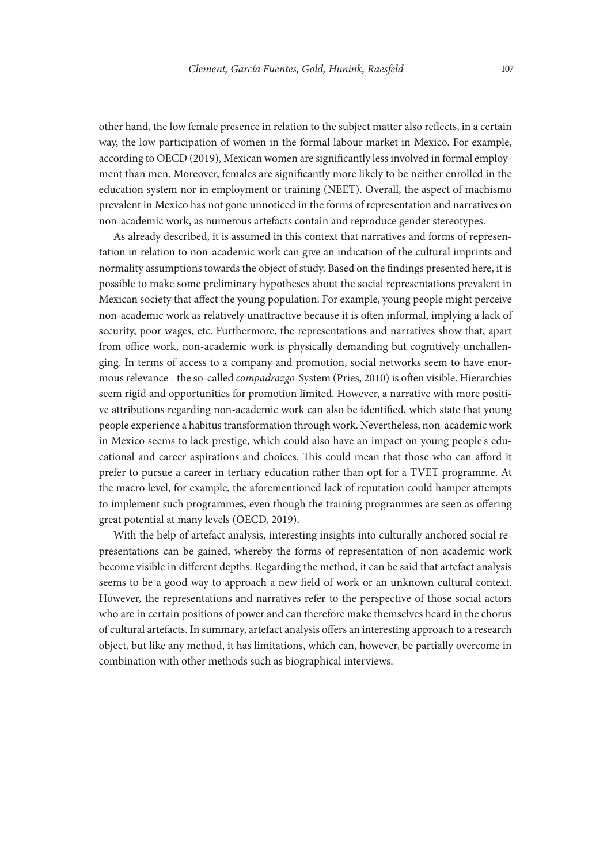other hand, the low female presence in relation to the subject matter also reflects, in a certain way, the low participation of women in the formal labour market in Mexico. For example, according to OECD (2019), Mexican women are significantly less involved in formal employment than men. Moreover, females are significantly more likely to be neither enrolled in the education system nor in employment or training (NEET). Overall, the aspect of machismo prevalent in Mexico has not gone unnoticed in the forms of representation and narratives on non-academic work, as numerous artefacts contain and reproduce gender stereotypes.

As already described, it is assumed in this context that narratives and forms of representation in relation to non-academic work can give an indication of the cultural imprints and normality assumptions towards the object of study. Based on the findings presented here, it is possible to make some preliminary hypotheses about the social representations prevalent in Mexican society that affect the young population. For example, young people might perceive non-academic work as relatively unattractive because it is often informal, implying a lack of security, poor wages, etc. Furthermore, the representations and narratives show that, apart from office work, non-academic work is physically demanding but cognitively unchallenging. In terms of access to a company and promotion, social networks seem to have enormous relevance - the so-called *compadrazgo*-System (Pries, 2010) is often visible. Hierarchies seem rigid and opportunities for promotion limited. However, a narrative with more positive attributions regarding non-academic work can also be identified, which state that young people experience a habitus transformation through work. Nevertheless, non-academic work in Mexico seems to lack prestige, which could also have an impact on young people's educational and career aspirations and choices. This could mean that those who can afford it prefer to pursue a career in tertiary education rather than opt for a TVET programme. At the macro level, for example, the aforementioned lack of reputation could hamper attempts to implement such programmes, even though the training programmes are seen as offering great potential at many levels (OECD, 2019).

With the help of artefact analysis, interesting insights into culturally anchored social representations can be gained, whereby the forms of representation of non-academic work become visible in different depths. Regarding the method, it can be said that artefact analysis seems to be a good way to approach a new field of work or an unknown cultural context. However, the representations and narratives refer to the perspective of those social actors who are in certain positions of power and can therefore make themselves heard in the chorus of cultural artefacts. In summary, artefact analysis offers an interesting approach to a research object, but like any method, it has limitations, which can, however, be partially overcome in combination with other methods such as biographical interviews.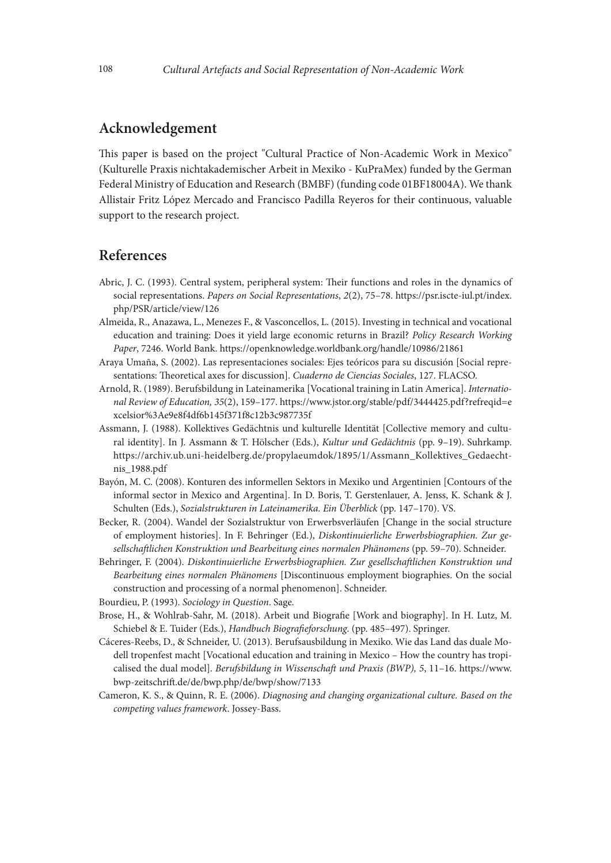### **Acknowledgement**

This paper is based on the project "Cultural Practice of Non-Academic Work in Mexico" (Kulturelle Praxis nichtakademischer Arbeit in Mexiko - KuPraMex) funded by the German Federal Ministry of Education and Research (BMBF) (funding code 01BF18004A). We thank Allistair Fritz López Mercado and Francisco Padilla Reyeros for their continuous, valuable support to the research project.

#### **References**

- Abric, J. C. (1993). Central system, peripheral system: Their functions and roles in the dynamics of social representations. *Papers on Social Representations*, *2*(2), 75–78. [https://psr.iscte-iul.pt/index.](https://psr.iscte-iul.pt/index.php/PSR/article/view/126) [php/PSR/article/view/126](https://psr.iscte-iul.pt/index.php/PSR/article/view/126)
- Almeida, R., Anazawa, L., Menezes F., & Vasconcellos, L. (2015). Investing in technical and vocational education and training: Does it yield large economic returns in Brazil? *Policy Research Working Paper*, 7246. World Bank. https://openknowledge.worldbank.org/handle/10986/21861
- Araya Umaña, S. (2002). Las representaciones sociales: Ejes teóricos para su discusión [Social representations: Theoretical axes for discussion]. *Cuaderno de Ciencias Sociales*, 127. FLACSO.
- Arnold, R. (1989). Berufsbildung in Lateinamerika [Vocational training in Latin America]. *International Review of Education, 35*(2), 159–177. https://www.jstor.org/stable/pdf/3444425.pdf?refreqid=e xcelsior%3Ae9e8f4df6b145f371f8c12b3c987735f
- Assmann, J. (1988). Kollektives Gedächtnis und kulturelle Identität [Collective memory and cultural identity]. In J. Assmann & T. Hölscher (Eds.), *Kultur und Gedächtnis* (pp. 9–19). Suhrkamp. https://archiv.ub.uni-heidelberg.de/propylaeumdok/1895/1/Assmann\_Kollektives\_Gedaechtnis\_1988.pdf
- Bayón, M. C. (2008). Konturen des informellen Sektors in Mexiko und Argentinien [Contours of the informal sector in Mexico and Argentina]. In D. Boris, T. Gerstenlauer, A. Jenss, K. Schank & J. Schulten (Eds.), *Sozialstrukturen in Lateinamerika. Ein Überblick* (pp. 147–170). VS.
- Becker, R. (2004). Wandel der Sozialstruktur von Erwerbsverläufen [Change in the social structure of employment histories]. In F. Behringer (Ed.), *Diskontinuierliche Erwerbsbiographien. Zur gesellschaftlichen Konstruktion und Bearbeitung eines normalen Phänomens* (pp. 59–70). Schneider.
- Behringer, F. (2004). *Diskontinuierliche Erwerbsbiographien. Zur gesellschaftlichen Konstruktion und Bearbeitung eines normalen Phänomens* [Discontinuous employment biographies. On the social construction and processing of a normal phenomenon]. Schneider.
- Bourdieu, P. (1993). *Sociology in Question*. Sage.
- Brose, H., & Wohlrab-Sahr, M. (2018). Arbeit und Biografie [Work and biography]. In H. Lutz, M. Schiebel & E. Tuider (Eds.), *Handbuch Biografieforschung*. (pp. 485–497). Springer.
- Cáceres-Reebs, D., & Schneider, U. (2013). Berufsausbildung in Mexiko. Wie das Land das duale Modell tropenfest macht [Vocational education and training in Mexico – How the country has tropicalised the dual model]. *Berufsbildung in Wissenschaft und Praxis (BWP), 5*, 11–16. [https://www.](https://www.bwp-zeitschrift.de/de/bwp.php/de/bwp/show/7133) [bwp-zeitschrift.de/de/bwp.php/de/bwp/show/7133](https://www.bwp-zeitschrift.de/de/bwp.php/de/bwp/show/7133)
- Cameron, K. S., & Quinn, R. E. (2006). *Diagnosing and changing organizational culture. Based on the competing values framework*. Jossey-Bass.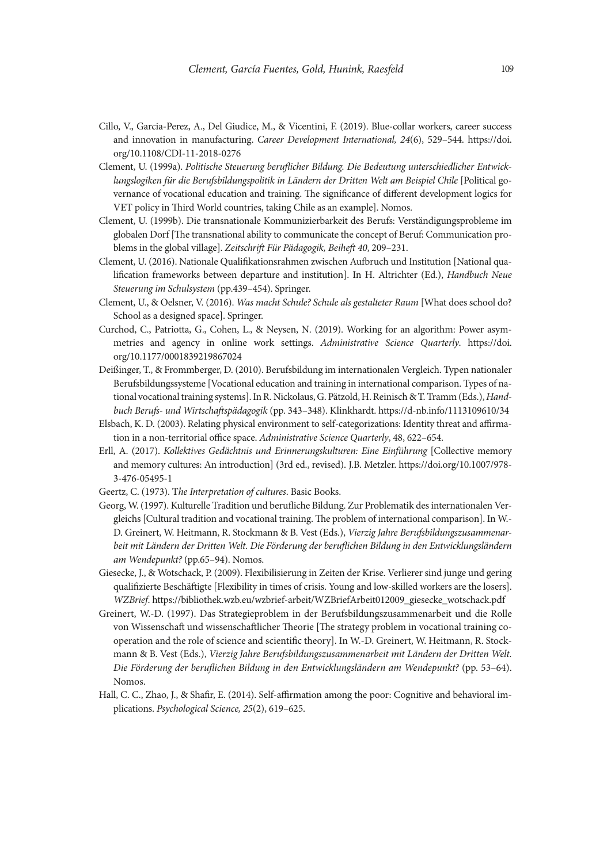- Cillo, V., Garcia-Perez, A., Del Giudice, M., & Vicentini, F. (2019). Blue-collar workers, career success and innovation in manufacturing. *Career Development International, 24*(6), 529–544. [https://doi.](https://doi.org/10.1108/CDI-11-2018-0276 ) [org/10.1108/CDI-11-2018-0276](https://doi.org/10.1108/CDI-11-2018-0276 )
- Clement, U. (1999a). *Politische Steuerung beruflicher Bildung. Die Bedeutung unterschiedlicher Entwicklungslogiken für die Berufsbildungspolitik in Ländern der Dritten Welt am Beispiel Chile* [Political governance of vocational education and training. The significance of different development logics for VET policy in Third World countries, taking Chile as an example]. Nomos.
- Clement, U. (1999b). Die transnationale Kommunizierbarkeit des Berufs: Verständigungsprobleme im globalen Dorf [The transnational ability to communicate the concept of Beruf: Communication problems in the global village]. *Zeitschrift Für Pädagogik, Beiheft 40*, 209–231.
- Clement, U. (2016). Nationale Qualifikationsrahmen zwischen Aufbruch und Institution [National qualification frameworks between departure and institution]. In H. Altrichter (Ed.), *Handbuch Neue Steuerung im Schulsystem* (pp.439–454). Springer.
- Clement, U., & Oelsner, V. (2016). *Was macht Schule? Schule als gestalteter Raum* [What does school do? School as a designed space]. Springer.
- Curchod, C., Patriotta, G., Cohen, L., & Neysen, N. (2019). Working for an algorithm: Power asymmetries and agency in online work settings. *Administrative Science Quarterly*. [https://doi.](https://doi.org/10.1177/0001839219867024) [org/10.1177/0001839219867024](https://doi.org/10.1177/0001839219867024)
- Deißinger, T., & Frommberger, D. (2010). Berufsbildung im internationalen Vergleich. Typen nationaler Berufsbildungssysteme [Vocational education and training in international comparison. Types of national vocational training systems]. In R. Nickolaus, G. Pätzold, H. Reinisch & T. Tramm (Eds.), *Handbuch Berufs- und Wirtschaftspädagogik* (pp. 343–348). Klinkhardt. https://d-nb.info/1113109610/34
- Elsbach, K. D. (2003). Relating physical environment to self-categorizations: Identity threat and affirmation in a non-territorial office space. *Administrative Science Quarterly*, 48, 622–654.
- Erll, A. (2017). *Kollektives Gedächtnis und Erinnerungskulturen: Eine Einführung* [Collective memory and memory cultures: An introduction] (3rd ed., revised). J.B. Metzler. https://doi.org/10.1007/978- 3-476-05495-1
- Geertz, C. (1973). T*he Interpretation of cultures*. Basic Books.
- Georg, W. (1997). Kulturelle Tradition und berufliche Bildung. Zur Problematik des internationalen Vergleichs [Cultural tradition and vocational training. The problem of international comparison]. In W.- D. Greinert, W. Heitmann, R. Stockmann & B. Vest (Eds.), *Vierzig Jahre Berufsbildungszusammenarbeit mit Ländern der Dritten Welt. Die Förderung der beruflichen Bildung in den Entwicklungsländern am Wendepunkt?* (pp.65–94). Nomos.
- Giesecke, J., & Wotschack, P. (2009). Flexibilisierung in Zeiten der Krise. Verlierer sind junge und gering qualifizierte Beschäftigte [Flexibility in times of crisis. Young and low-skilled workers are the losers]. *WZBrief*. https://bibliothek.wzb.eu/wzbrief-arbeit/WZBriefArbeit012009\_giesecke\_wotschack.pdf
- Greinert, W.-D. (1997). Das Strategieproblem in der Berufsbildungszusammenarbeit und die Rolle von Wissenschaft und wissenschaftlicher Theorie [The strategy problem in vocational training cooperation and the role of science and scientific theory]. In W.-D. Greinert, W. Heitmann, R. Stockmann & B. Vest (Eds.), *Vierzig Jahre Berufsbildungszusammenarbeit mit Ländern der Dritten Welt. Die Förderung der beruflichen Bildung in den Entwicklungsländern am Wendepunkt?* (pp. 53–64). Nomos.
- Hall, C. C., Zhao, J., & Shafir, E. (2014). Self-affirmation among the poor: Cognitive and behavioral implications. *Psychological Science, 25*(2), 619–625.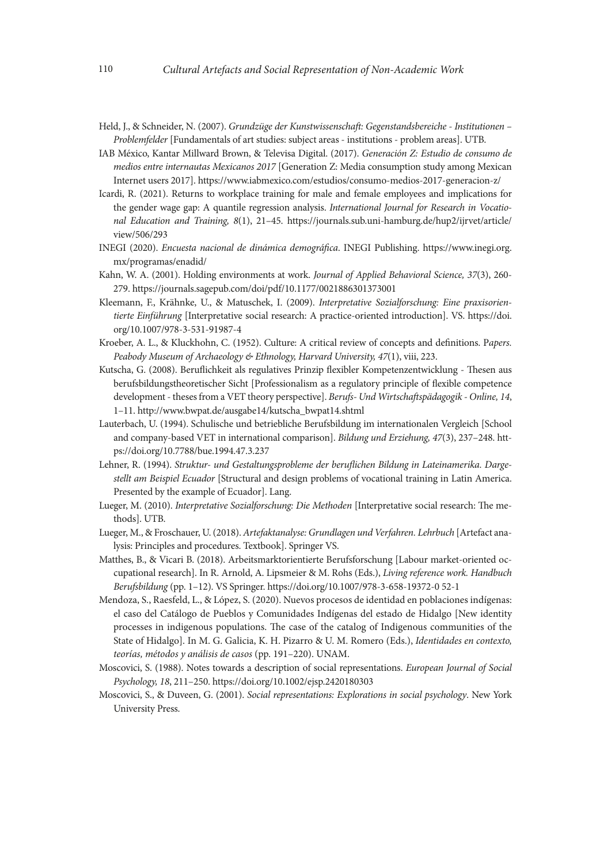- Held, J., & Schneider, N. (2007). *Grundzüge der Kunstwissenschaft: Gegenstandsbereiche Institutionen Problemfelder* [Fundamentals of art studies: subject areas - institutions - problem areas]. UTB.
- IAB México, Kantar Millward Brown, & Televisa Digital. (2017). *Generación Z: Estudio de consumo de medios entre internautas Mexicanos 2017* [Generation Z: Media consumption study among Mexican Internet users 2017]. https://www.iabmexico.com/estudios/consumo-medios-2017-generacion-z/
- Icardi, R. (2021). Returns to workplace training for male and female employees and implications for the gender wage gap: A quantile regression analysis. *International Journal for Research in Vocational Education and Training, 8*(1), 21–45. [https://journals.sub.uni-hamburg.de/hup2/ijrvet/article/](https://journals.sub.uni-hamburg.de/hup2/ijrvet/article/view/506/293) [view/506/293](https://journals.sub.uni-hamburg.de/hup2/ijrvet/article/view/506/293)
- INEGI (2020). *Encuesta nacional de dinámica demográfica*. INEGI Publishing. https://www.inegi.org. mx/programas/enadid/
- Kahn, W. A. (2001). Holding environments at work. *Journal of Applied Behavioral Science, 37*(3), 260- 279. https://journals.sagepub.com/doi/pdf/10.1177/0021886301373001
- Kleemann, F., Krähnke, U., & Matuschek, I. (2009). *Interpretative Sozialforschung: Eine praxisorientierte Einführung* [Interpretative social research: A practice-oriented introduction]. VS. [https://doi.](https://doi.org/10.1007/978-3-531-91987-4) [org/10.1007/978-3-531-91987-4](https://doi.org/10.1007/978-3-531-91987-4)
- Kroeber, A. L., & Kluckhohn, C. (1952). Culture: A critical review of concepts and definitions. P*apers. Peabody Museum of Archaeology & Ethnology, Harvard University, 47*(1), viii, 223.
- Kutscha, G. (2008). Beruflichkeit als regulatives Prinzip flexibler Kompetenzentwicklung Thesen aus berufsbildungstheoretischer Sicht [Professionalism as a regulatory principle of flexible competence development - theses from a VET theory perspective]. *Berufs- Und Wirtschaftspädagogik - Online, 14*, 1–11. http://www.bwpat.de/ausgabe14/kutscha\_bwpat14.shtml
- Lauterbach, U. (1994). Schulische und betriebliche Berufsbildung im internationalen Vergleich [School and company-based VET in international comparison]. *Bildung und Erziehung, 47*(3), 237–248. [htt](https://doi.org/10.7788/bue.1994.47.3.237)[ps://doi.org/10.7788/bue.1994.47.3.237](https://doi.org/10.7788/bue.1994.47.3.237)
- Lehner, R. (1994). *Struktur- und Gestaltungsprobleme der beruflichen Bildung in Lateinamerika. Dargestellt am Beispiel Ecuador* [Structural and design problems of vocational training in Latin America. Presented by the example of Ecuador]. Lang.
- Lueger, M. (2010). *Interpretative Sozialforschung: Die Methoden* [Interpretative social research: The methods]. UTB.
- Lueger, M., & Froschauer, U. (2018). *Artefaktanalyse: Grundlagen und Verfahren. Lehrbuch* [Artefact analysis: Principles and procedures. Textbook]. Springer VS.
- Matthes, B., & Vicari B. (2018). Arbeitsmarktorientierte Berufsforschung [Labour market-oriented occupational research]. In R. Arnold, A. Lipsmeier & M. Rohs (Eds.), *Living reference work. Handbuch Berufsbildung* (pp. 1–12). VS Springer. https://doi.org/10.1007/978-3-658-19372-0 52-1
- Mendoza, S., Raesfeld, L., & López, S. (2020). Nuevos procesos de identidad en poblaciones indígenas: el caso del Catálogo de Pueblos y Comunidades Indígenas del estado de Hidalgo [New identity processes in indigenous populations. The case of the catalog of Indigenous communities of the State of Hidalgo]. In M. G. Galicia, K. H. Pizarro & U. M. Romero (Eds.), *Identidades en contexto, teorías, métodos y análisis de casos* (pp. 191–220). UNAM.
- Moscovici, S. (1988). Notes towards a description of social representations. *European Journal of Social Psychology, 18*, 211–250. https://doi.org/10.1002/ejsp.2420180303
- Moscovici, S., & Duveen, G. (2001). *Social representations: Explorations in social psychology*. New York University Press.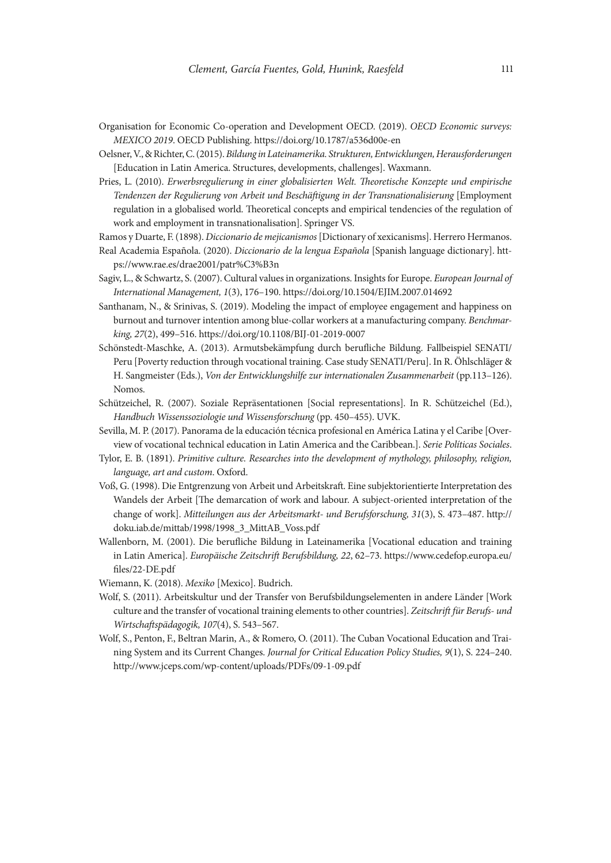- Organisation for Economic Co-operation and Development OECD. (2019). *OECD Economic surveys: MEXICO 2019*. OECD Publishing. https://doi.org/10.1787/a536d00e-en
- Oelsner, V., & Richter, C. (2015). *Bildung in Lateinamerika. Strukturen, Entwicklungen, Herausforderungen*  [Education in Latin America. Structures, developments, challenges]. Waxmann.
- Pries, L. (2010). *Erwerbsregulierung in einer globalisierten Welt. Theoretische Konzepte und empirische Tendenzen der Regulierung von Arbeit und Beschäftigung in der Transnationalisierung* [Employment regulation in a globalised world. Theoretical concepts and empirical tendencies of the regulation of work and employment in transnationalisation]. Springer VS.
- Ramos y Duarte, F. (1898). *Diccionario de mejicanismos* [Dictionary of xexicanisms]. Herrero Hermanos.
- Real Academia Española. (2020). *Diccionario de la lengua Española* [Spanish language dictionary]. [htt](https://www.rae.es/drae2001/patr%C3%B3n)[ps://www.rae.es/drae2001/patr%C3%B3n](https://www.rae.es/drae2001/patr%C3%B3n)
- Sagiv, L., & Schwartz, S. (2007). Cultural values in organizations. Insights for Europe. *European Journal of International Management, 1*(3), 176–190. https://doi.org/10.1504/EJIM.2007.014692
- Santhanam, N., & Srinivas, S. (2019). Modeling the impact of employee engagement and happiness on burnout and turnover intention among blue-collar workers at a manufacturing company. *Benchmarking, 27*(2), 499–516. https://doi.org/10.1108/BIJ-01-2019-0007
- Schönstedt-Maschke, A. (2013). Armutsbekämpfung durch berufliche Bildung. Fallbeispiel SENATI/ Peru [Poverty reduction through vocational training. Case study SENATI/Peru]. In R. Öhlschläger & H. Sangmeister (Eds.), *Von der Entwicklungshilfe zur internationalen Zusammenarbeit* (pp.113–126). Nomos.
- Schützeichel, R. (2007). Soziale Repräsentationen [Social representations]. In R. Schützeichel (Ed.), *Handbuch Wissenssoziologie und Wissensforschung* (pp. 450–455). UVK.
- Sevilla, M. P. (2017). Panorama de la educación técnica profesional en América Latina y el Caribe [Overview of vocational technical education in Latin America and the Caribbean.]. *Serie Políticas Sociales*.
- Tylor, E. B. (1891). *Primitive culture. Researches into the development of mythology, philosophy, religion, language, art and custom*. Oxford.
- Voß, G. (1998). Die Entgrenzung von Arbeit und Arbeitskraft. Eine subjektorientierte Interpretation des Wandels der Arbeit [The demarcation of work and labour. A subject-oriented interpretation of the change of work]. *Mitteilungen aus der Arbeitsmarkt- und Berufsforschung, 31*(3), S. 473–487. http:// doku.iab.de/mittab/1998/1998\_3\_MittAB\_Voss.pdf
- Wallenborn, M. (2001). Die berufliche Bildung in Lateinamerika [Vocational education and training in Latin America]. *Europäische Zeitschrift Berufsbildung, 22*, 62–73. https://www.cedefop.europa.eu/ files/22-DE.pdf
- Wiemann, K. (2018). *Mexiko* [Mexico]. Budrich.
- Wolf, S. (2011). Arbeitskultur und der Transfer von Berufsbildungselementen in andere Länder [Work culture and the transfer of vocational training elements to other countries]. *Zeitschrift für Berufs- und Wirtschaftspädagogik, 107*(4), S. 543–567.
- Wolf, S., Penton, F., Beltran Marin, A., & Romero, O. (2011). The Cuban Vocational Education and Training System and its Current Changes. *Journal for Critical Education Policy Studies, 9*(1), S. 224–240. http://www.jceps.com/wp-content/uploads/PDFs/09-1-09.pdf